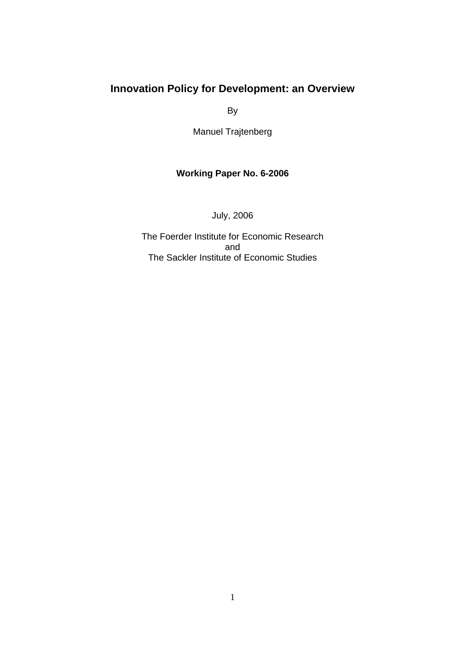# **Innovation Policy for Development: an Overview**

By

Manuel Trajtenberg

# **Working Paper No. 6-2006**

July, 2006

The Foerder Institute for Economic Research and The Sackler Institute of Economic Studies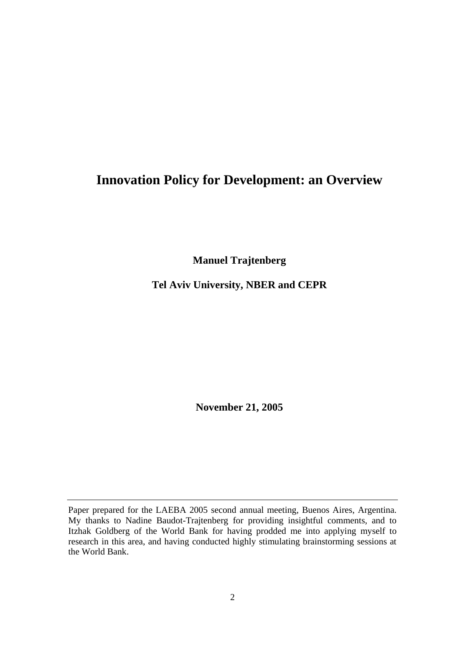# **Innovation Policy for Development: an Overview**

**Manuel Trajtenberg** 

# **Tel Aviv University, NBER and CEPR**

**November 21, 2005** 

Paper prepared for the LAEBA 2005 second annual meeting, Buenos Aires, Argentina. My thanks to Nadine Baudot-Trajtenberg for providing insightful comments, and to Itzhak Goldberg of the World Bank for having prodded me into applying myself to research in this area, and having conducted highly stimulating brainstorming sessions at the World Bank.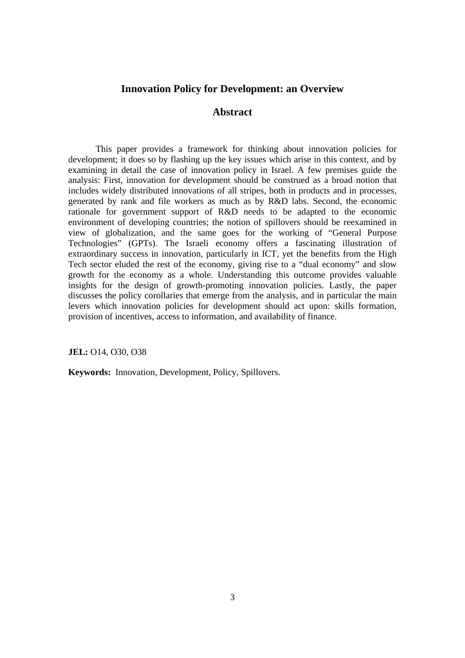# **Innovation Policy for Development: an Overview**

# **Abstract**

This paper provides a framework for thinking about innovation policies for development; it does so by flashing up the key issues which arise in this context, and by examining in detail the case of innovation policy in Israel. A few premises guide the analysis: First, innovation for development should be construed as a broad notion that includes widely distributed innovations of all stripes, both in products and in processes, generated by rank and file workers as much as by R&D labs. Second, the economic rationale for government support of R&D needs to be adapted to the economic environment of developing countries; the notion of spillovers should be reexamined in view of globalization, and the same goes for the working of "General Purpose Technologies" (GPTs). The Israeli economy offers a fascinating illustration of extraordinary success in innovation, particularly in ICT, yet the benefits from the High Tech sector eluded the rest of the economy, giving rise to a "dual economy" and slow growth for the economy as a whole. Understanding this outcome provides valuable insights for the design of growth-promoting innovation policies. Lastly, the paper discusses the policy corollaries that emerge from the analysis, and in particular the main levers which innovation policies for development should act upon: skills formation, provision of incentives, access to information, and availability of finance.

**JEL:** O14, O30, O38

**Keywords:** Innovation, Development, Policy, Spillovers.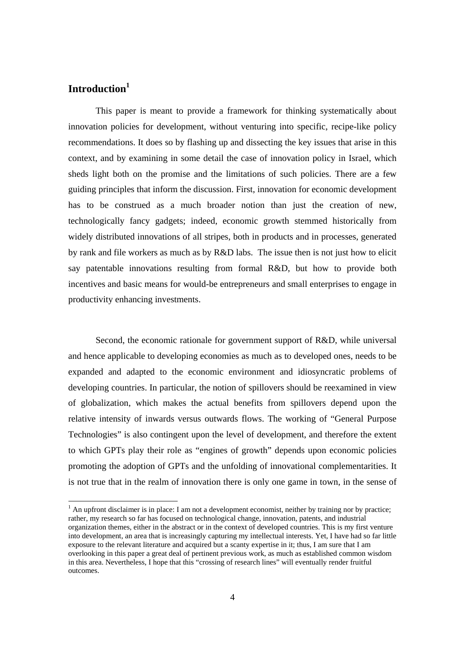# **Introduction<sup>1</sup>**

This paper is meant to provide a framework for thinking systematically about innovation policies for development, without venturing into specific, recipe-like policy recommendations. It does so by flashing up and dissecting the key issues that arise in this context, and by examining in some detail the case of innovation policy in Israel, which sheds light both on the promise and the limitations of such policies. There are a few guiding principles that inform the discussion. First, innovation for economic development has to be construed as a much broader notion than just the creation of new, technologically fancy gadgets; indeed, economic growth stemmed historically from widely distributed innovations of all stripes, both in products and in processes, generated by rank and file workers as much as by R&D labs. The issue then is not just how to elicit say patentable innovations resulting from formal R&D, but how to provide both incentives and basic means for would-be entrepreneurs and small enterprises to engage in productivity enhancing investments.

Second, the economic rationale for government support of R&D, while universal and hence applicable to developing economies as much as to developed ones, needs to be expanded and adapted to the economic environment and idiosyncratic problems of developing countries. In particular, the notion of spillovers should be reexamined in view of globalization, which makes the actual benefits from spillovers depend upon the relative intensity of inwards versus outwards flows. The working of "General Purpose Technologies" is also contingent upon the level of development, and therefore the extent to which GPTs play their role as "engines of growth" depends upon economic policies promoting the adoption of GPTs and the unfolding of innovational complementarities. It is not true that in the realm of innovation there is only one game in town, in the sense of

 $<sup>1</sup>$  An upfront disclaimer is in place: I am not a development economist, neither by training nor by practice;</sup> rather, my research so far has focused on technological change, innovation, patents, and industrial organization themes, either in the abstract or in the context of developed countries. This is my first venture into development, an area that is increasingly capturing my intellectual interests. Yet, I have had so far little exposure to the relevant literature and acquired but a scanty expertise in it; thus, I am sure that I am overlooking in this paper a great deal of pertinent previous work, as much as established common wisdom in this area. Nevertheless, I hope that this "crossing of research lines" will eventually render fruitful outcomes.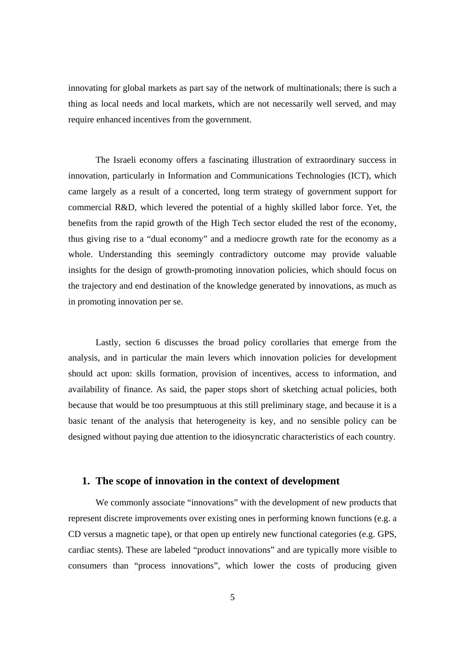innovating for global markets as part say of the network of multinationals; there is such a thing as local needs and local markets, which are not necessarily well served, and may require enhanced incentives from the government.

The Israeli economy offers a fascinating illustration of extraordinary success in innovation, particularly in Information and Communications Technologies (ICT), which came largely as a result of a concerted, long term strategy of government support for commercial R&D, which levered the potential of a highly skilled labor force. Yet, the benefits from the rapid growth of the High Tech sector eluded the rest of the economy, thus giving rise to a "dual economy" and a mediocre growth rate for the economy as a whole. Understanding this seemingly contradictory outcome may provide valuable insights for the design of growth-promoting innovation policies, which should focus on the trajectory and end destination of the knowledge generated by innovations, as much as in promoting innovation per se.

Lastly, section 6 discusses the broad policy corollaries that emerge from the analysis, and in particular the main levers which innovation policies for development should act upon: skills formation, provision of incentives, access to information, and availability of finance. As said, the paper stops short of sketching actual policies, both because that would be too presumptuous at this still preliminary stage, and because it is a basic tenant of the analysis that heterogeneity is key, and no sensible policy can be designed without paying due attention to the idiosyncratic characteristics of each country.

# **1. The scope of innovation in the context of development**

We commonly associate "innovations" with the development of new products that represent discrete improvements over existing ones in performing known functions (e.g. a CD versus a magnetic tape), or that open up entirely new functional categories (e.g. GPS, cardiac stents). These are labeled "product innovations" and are typically more visible to consumers than "process innovations", which lower the costs of producing given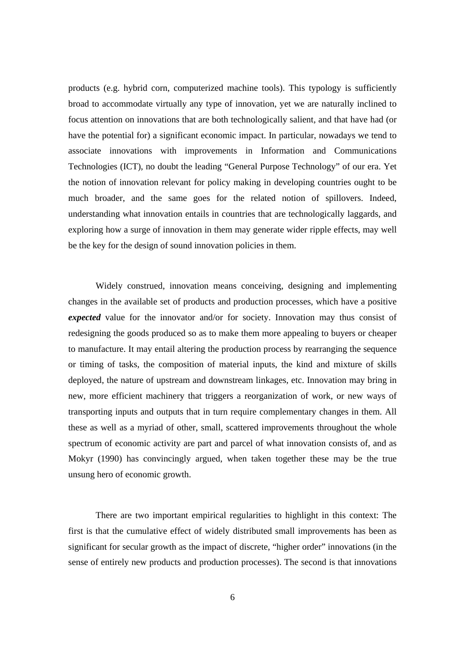products (e.g. hybrid corn, computerized machine tools). This typology is sufficiently broad to accommodate virtually any type of innovation, yet we are naturally inclined to focus attention on innovations that are both technologically salient, and that have had (or have the potential for) a significant economic impact. In particular, nowadays we tend to associate innovations with improvements in Information and Communications Technologies (ICT), no doubt the leading "General Purpose Technology" of our era. Yet the notion of innovation relevant for policy making in developing countries ought to be much broader, and the same goes for the related notion of spillovers. Indeed, understanding what innovation entails in countries that are technologically laggards, and exploring how a surge of innovation in them may generate wider ripple effects, may well be the key for the design of sound innovation policies in them.

Widely construed, innovation means conceiving, designing and implementing changes in the available set of products and production processes, which have a positive *expected* value for the innovator and/or for society. Innovation may thus consist of redesigning the goods produced so as to make them more appealing to buyers or cheaper to manufacture. It may entail altering the production process by rearranging the sequence or timing of tasks, the composition of material inputs, the kind and mixture of skills deployed, the nature of upstream and downstream linkages, etc. Innovation may bring in new, more efficient machinery that triggers a reorganization of work, or new ways of transporting inputs and outputs that in turn require complementary changes in them. All these as well as a myriad of other, small, scattered improvements throughout the whole spectrum of economic activity are part and parcel of what innovation consists of, and as Mokyr (1990) has convincingly argued, when taken together these may be the true unsung hero of economic growth.

There are two important empirical regularities to highlight in this context: The first is that the cumulative effect of widely distributed small improvements has been as significant for secular growth as the impact of discrete, "higher order" innovations (in the sense of entirely new products and production processes). The second is that innovations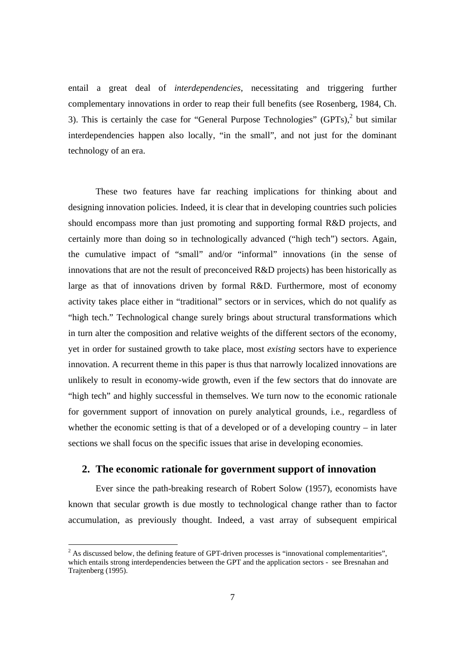entail a great deal of *interdependencies*, necessitating and triggering further complementary innovations in order to reap their full benefits (see Rosenberg, 1984, Ch. 3). This is certainly the case for "General Purpose Technologies" (GPTs), $^2$  but similar interdependencies happen also locally, "in the small", and not just for the dominant technology of an era.

These two features have far reaching implications for thinking about and designing innovation policies. Indeed, it is clear that in developing countries such policies should encompass more than just promoting and supporting formal R&D projects, and certainly more than doing so in technologically advanced ("high tech") sectors. Again, the cumulative impact of "small" and/or "informal" innovations (in the sense of innovations that are not the result of preconceived R&D projects) has been historically as large as that of innovations driven by formal R&D. Furthermore, most of economy activity takes place either in "traditional" sectors or in services, which do not qualify as "high tech." Technological change surely brings about structural transformations which in turn alter the composition and relative weights of the different sectors of the economy, yet in order for sustained growth to take place, most *existing* sectors have to experience innovation. A recurrent theme in this paper is thus that narrowly localized innovations are unlikely to result in economy-wide growth, even if the few sectors that do innovate are "high tech" and highly successful in themselves. We turn now to the economic rationale for government support of innovation on purely analytical grounds, i.e., regardless of whether the economic setting is that of a developed or of a developing country – in later sections we shall focus on the specific issues that arise in developing economies.

# **2. The economic rationale for government support of innovation**

Ever since the path-breaking research of Robert Solow (1957), economists have known that secular growth is due mostly to technological change rather than to factor accumulation, as previously thought. Indeed, a vast array of subsequent empirical

 $2^2$  As discussed below, the defining feature of GPT-driven processes is "innovational complementarities", which entails strong interdependencies between the GPT and the application sectors - see Bresnahan and Traitenberg (1995).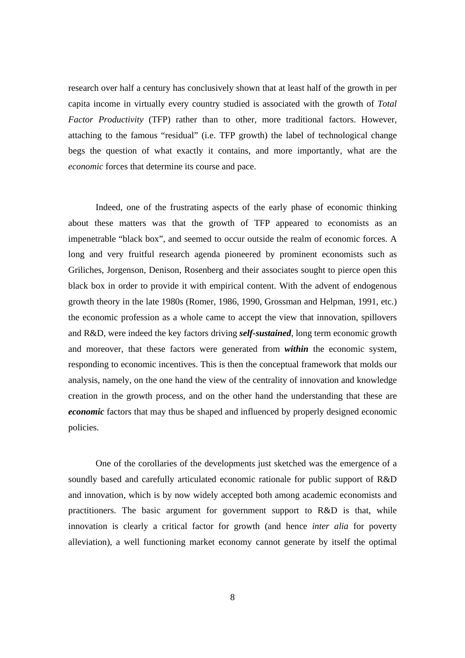research over half a century has conclusively shown that at least half of the growth in per capita income in virtually every country studied is associated with the growth of *Total Factor Productivity* (TFP) rather than to other, more traditional factors. However, attaching to the famous "residual" (i.e. TFP growth) the label of technological change begs the question of what exactly it contains, and more importantly, what are the *economic* forces that determine its course and pace.

Indeed, one of the frustrating aspects of the early phase of economic thinking about these matters was that the growth of TFP appeared to economists as an impenetrable "black box", and seemed to occur outside the realm of economic forces. A long and very fruitful research agenda pioneered by prominent economists such as Griliches, Jorgenson, Denison, Rosenberg and their associates sought to pierce open this black box in order to provide it with empirical content. With the advent of endogenous growth theory in the late 1980s (Romer, 1986, 1990, Grossman and Helpman, 1991, etc.) the economic profession as a whole came to accept the view that innovation, spillovers and R&D, were indeed the key factors driving *self-sustained*, long term economic growth and moreover, that these factors were generated from *within* the economic system, responding to economic incentives. This is then the conceptual framework that molds our analysis, namely, on the one hand the view of the centrality of innovation and knowledge creation in the growth process, and on the other hand the understanding that these are *economic* factors that may thus be shaped and influenced by properly designed economic policies.

One of the corollaries of the developments just sketched was the emergence of a soundly based and carefully articulated economic rationale for public support of R&D and innovation, which is by now widely accepted both among academic economists and practitioners. The basic argument for government support to R&D is that, while innovation is clearly a critical factor for growth (and hence *inter alia* for poverty alleviation), a well functioning market economy cannot generate by itself the optimal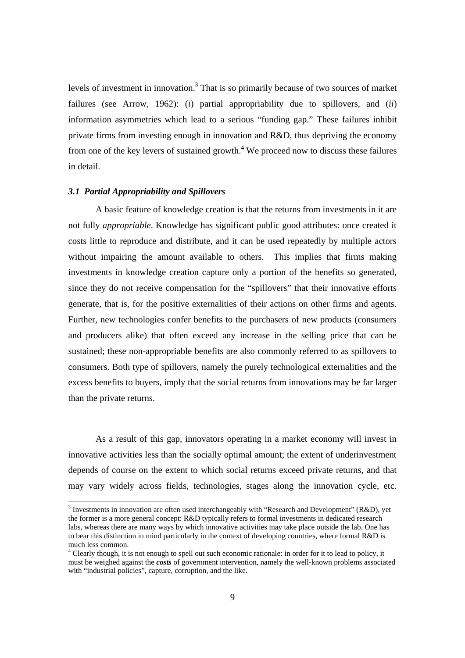levels of investment in innovation.<sup>3</sup> That is so primarily because of two sources of market failures (see Arrow, 1962): (*i*) partial appropriability due to spillovers, and (*ii*) information asymmetries which lead to a serious "funding gap." These failures inhibit private firms from investing enough in innovation and R&D, thus depriving the economy from one of the key levers of sustained growth.<sup>4</sup> We proceed now to discuss these failures in detail.

#### *3.1 Partial Appropriability and Spillovers*

A basic feature of knowledge creation is that the returns from investments in it are not fully *appropriable*. Knowledge has significant public good attributes: once created it costs little to reproduce and distribute, and it can be used repeatedly by multiple actors without impairing the amount available to others. This implies that firms making investments in knowledge creation capture only a portion of the benefits so generated, since they do not receive compensation for the "spillovers" that their innovative efforts generate, that is, for the positive externalities of their actions on other firms and agents. Further, new technologies confer benefits to the purchasers of new products (consumers and producers alike) that often exceed any increase in the selling price that can be sustained; these non-appropriable benefits are also commonly referred to as spillovers to consumers. Both type of spillovers, namely the purely technological externalities and the excess benefits to buyers, imply that the social returns from innovations may be far larger than the private returns.

As a result of this gap, innovators operating in a market economy will invest in innovative activities less than the socially optimal amount; the extent of underinvestment depends of course on the extent to which social returns exceed private returns, and that may vary widely across fields, technologies, stages along the innovation cycle, etc.

<sup>&</sup>lt;sup>3</sup> Investments in innovation are often used interchangeably with "Research and Development" (R&D), yet the former is a more general concept: R&D typically refers to formal investments in dedicated research labs, whereas there are many ways by which innovative activities may take place outside the lab. One has to bear this distinction in mind particularly in the context of developing countries, where formal R&D is much less common.

<sup>&</sup>lt;sup>4</sup> Clearly though, it is not enough to spell out such economic rationale: in order for it to lead to policy, it must be weighed against the *costs* of government intervention, namely the well-known problems associated with "industrial policies", capture, corruption, and the like.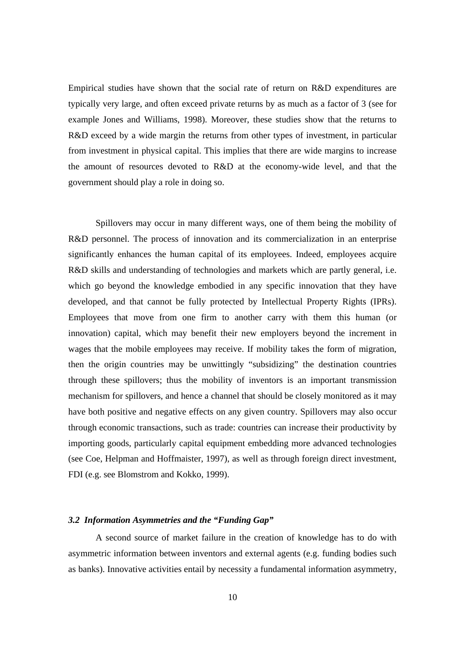Empirical studies have shown that the social rate of return on R&D expenditures are typically very large, and often exceed private returns by as much as a factor of 3 (see for example Jones and Williams, 1998). Moreover, these studies show that the returns to R&D exceed by a wide margin the returns from other types of investment, in particular from investment in physical capital. This implies that there are wide margins to increase the amount of resources devoted to R&D at the economy-wide level, and that the government should play a role in doing so.

Spillovers may occur in many different ways, one of them being the mobility of R&D personnel. The process of innovation and its commercialization in an enterprise significantly enhances the human capital of its employees. Indeed, employees acquire R&D skills and understanding of technologies and markets which are partly general, i.e. which go beyond the knowledge embodied in any specific innovation that they have developed, and that cannot be fully protected by Intellectual Property Rights (IPRs). Employees that move from one firm to another carry with them this human (or innovation) capital, which may benefit their new employers beyond the increment in wages that the mobile employees may receive. If mobility takes the form of migration, then the origin countries may be unwittingly "subsidizing" the destination countries through these spillovers; thus the mobility of inventors is an important transmission mechanism for spillovers, and hence a channel that should be closely monitored as it may have both positive and negative effects on any given country. Spillovers may also occur through economic transactions, such as trade: countries can increase their productivity by importing goods, particularly capital equipment embedding more advanced technologies (see Coe, Helpman and Hoffmaister, 1997), as well as through foreign direct investment, FDI (e.g. see Blomstrom and Kokko, 1999).

#### *3.2 Information Asymmetries and the "Funding Gap"*

A second source of market failure in the creation of knowledge has to do with asymmetric information between inventors and external agents (e.g. funding bodies such as banks). Innovative activities entail by necessity a fundamental information asymmetry,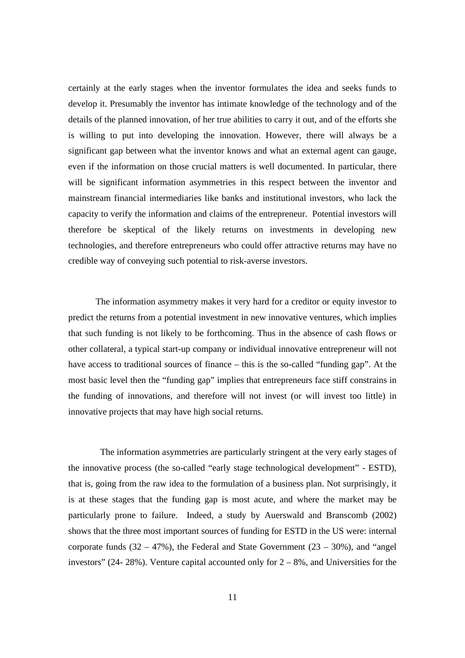certainly at the early stages when the inventor formulates the idea and seeks funds to develop it. Presumably the inventor has intimate knowledge of the technology and of the details of the planned innovation, of her true abilities to carry it out, and of the efforts she is willing to put into developing the innovation. However, there will always be a significant gap between what the inventor knows and what an external agent can gauge, even if the information on those crucial matters is well documented. In particular, there will be significant information asymmetries in this respect between the inventor and mainstream financial intermediaries like banks and institutional investors, who lack the capacity to verify the information and claims of the entrepreneur. Potential investors will therefore be skeptical of the likely returns on investments in developing new technologies, and therefore entrepreneurs who could offer attractive returns may have no credible way of conveying such potential to risk-averse investors.

The information asymmetry makes it very hard for a creditor or equity investor to predict the returns from a potential investment in new innovative ventures, which implies that such funding is not likely to be forthcoming. Thus in the absence of cash flows or other collateral, a typical start-up company or individual innovative entrepreneur will not have access to traditional sources of finance – this is the so-called "funding gap". At the most basic level then the "funding gap" implies that entrepreneurs face stiff constrains in the funding of innovations, and therefore will not invest (or will invest too little) in innovative projects that may have high social returns.

The information asymmetries are particularly stringent at the very early stages of the innovative process (the so-called "early stage technological development" - ESTD), that is, going from the raw idea to the formulation of a business plan. Not surprisingly, it is at these stages that the funding gap is most acute, and where the market may be particularly prone to failure. Indeed, a study by Auerswald and Branscomb (2002) shows that the three most important sources of funding for ESTD in the US were: internal corporate funds  $(32 - 47%)$ , the Federal and State Government  $(23 - 30%)$ , and "angel investors" (24- 28%). Venture capital accounted only for  $2 - 8%$ , and Universities for the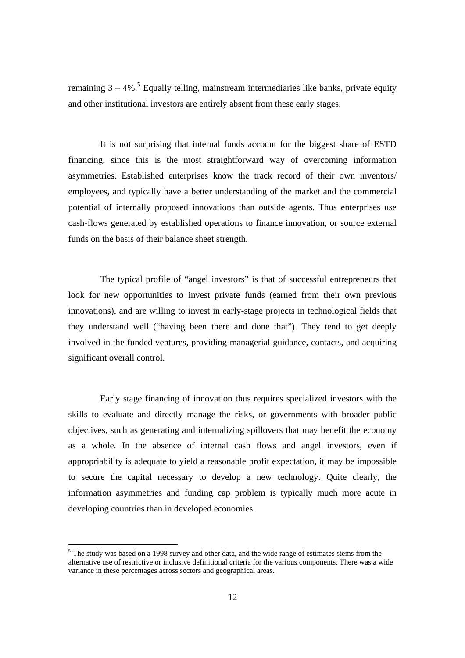remaining  $3 - 4\%$ . Equally telling, mainstream intermediaries like banks, private equity and other institutional investors are entirely absent from these early stages.

It is not surprising that internal funds account for the biggest share of ESTD financing, since this is the most straightforward way of overcoming information asymmetries. Established enterprises know the track record of their own inventors/ employees, and typically have a better understanding of the market and the commercial potential of internally proposed innovations than outside agents. Thus enterprises use cash-flows generated by established operations to finance innovation, or source external funds on the basis of their balance sheet strength.

The typical profile of "angel investors" is that of successful entrepreneurs that look for new opportunities to invest private funds (earned from their own previous innovations), and are willing to invest in early-stage projects in technological fields that they understand well ("having been there and done that"). They tend to get deeply involved in the funded ventures, providing managerial guidance, contacts, and acquiring significant overall control.

Early stage financing of innovation thus requires specialized investors with the skills to evaluate and directly manage the risks, or governments with broader public objectives, such as generating and internalizing spillovers that may benefit the economy as a whole. In the absence of internal cash flows and angel investors, even if appropriability is adequate to yield a reasonable profit expectation, it may be impossible to secure the capital necessary to develop a new technology. Quite clearly, the information asymmetries and funding cap problem is typically much more acute in developing countries than in developed economies.

<sup>&</sup>lt;sup>5</sup> The study was based on a 1998 survey and other data, and the wide range of estimates stems from the alternative use of restrictive or inclusive definitional criteria for the various components. There was a wide variance in these percentages across sectors and geographical areas.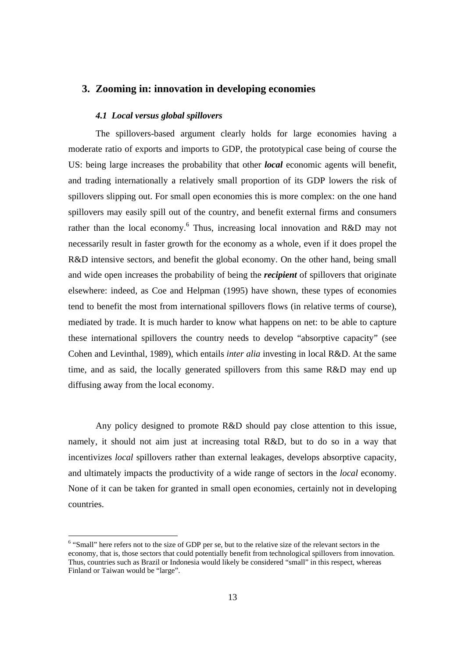## **3. Zooming in: innovation in developing economies**

## *4.1 Local versus global spillovers*

 The spillovers-based argument clearly holds for large economies having a moderate ratio of exports and imports to GDP, the prototypical case being of course the US: being large increases the probability that other *local* economic agents will benefit, and trading internationally a relatively small proportion of its GDP lowers the risk of spillovers slipping out. For small open economies this is more complex: on the one hand spillovers may easily spill out of the country, and benefit external firms and consumers rather than the local economy.<sup>6</sup> Thus, increasing local innovation and R&D may not necessarily result in faster growth for the economy as a whole, even if it does propel the R&D intensive sectors, and benefit the global economy. On the other hand, being small and wide open increases the probability of being the *recipient* of spillovers that originate elsewhere: indeed, as Coe and Helpman (1995) have shown, these types of economies tend to benefit the most from international spillovers flows (in relative terms of course), mediated by trade. It is much harder to know what happens on net: to be able to capture these international spillovers the country needs to develop "absorptive capacity" (see Cohen and Levinthal, 1989), which entails *inter alia* investing in local R&D. At the same time, and as said, the locally generated spillovers from this same R&D may end up diffusing away from the local economy.

Any policy designed to promote R&D should pay close attention to this issue, namely, it should not aim just at increasing total R&D, but to do so in a way that incentivizes *local* spillovers rather than external leakages, develops absorptive capacity, and ultimately impacts the productivity of a wide range of sectors in the *local* economy. None of it can be taken for granted in small open economies, certainly not in developing countries.

<sup>&</sup>lt;sup>6</sup> "Small" here refers not to the size of GDP per se, but to the relative size of the relevant sectors in the economy, that is, those sectors that could potentially benefit from technological spillovers from innovation. Thus, countries such as Brazil or Indonesia would likely be considered "small" in this respect, whereas Finland or Taiwan would be "large".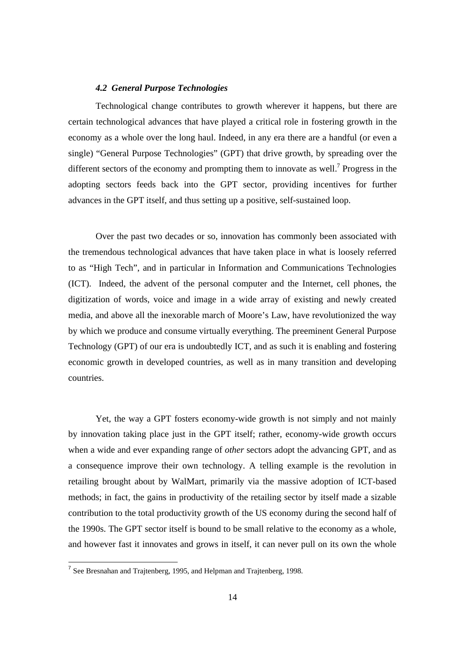#### *4.2 General Purpose Technologies*

Technological change contributes to growth wherever it happens, but there are certain technological advances that have played a critical role in fostering growth in the economy as a whole over the long haul. Indeed, in any era there are a handful (or even a single) "General Purpose Technologies" (GPT) that drive growth, by spreading over the different sectors of the economy and prompting them to innovate as well.<sup>7</sup> Progress in the adopting sectors feeds back into the GPT sector, providing incentives for further advances in the GPT itself, and thus setting up a positive, self-sustained loop.

Over the past two decades or so, innovation has commonly been associated with the tremendous technological advances that have taken place in what is loosely referred to as "High Tech", and in particular in Information and Communications Technologies (ICT). Indeed, the advent of the personal computer and the Internet, cell phones, the digitization of words, voice and image in a wide array of existing and newly created media, and above all the inexorable march of Moore's Law, have revolutionized the way by which we produce and consume virtually everything. The preeminent General Purpose Technology (GPT) of our era is undoubtedly ICT, and as such it is enabling and fostering economic growth in developed countries, as well as in many transition and developing countries.

Yet, the way a GPT fosters economy-wide growth is not simply and not mainly by innovation taking place just in the GPT itself; rather, economy-wide growth occurs when a wide and ever expanding range of *other* sectors adopt the advancing GPT, and as a consequence improve their own technology. A telling example is the revolution in retailing brought about by WalMart, primarily via the massive adoption of ICT-based methods; in fact, the gains in productivity of the retailing sector by itself made a sizable contribution to the total productivity growth of the US economy during the second half of the 1990s. The GPT sector itself is bound to be small relative to the economy as a whole, and however fast it innovates and grows in itself, it can never pull on its own the whole

 $<sup>7</sup>$  See Bresnahan and Trajtenberg, 1995, and Helpman and Trajtenberg, 1998.</sup>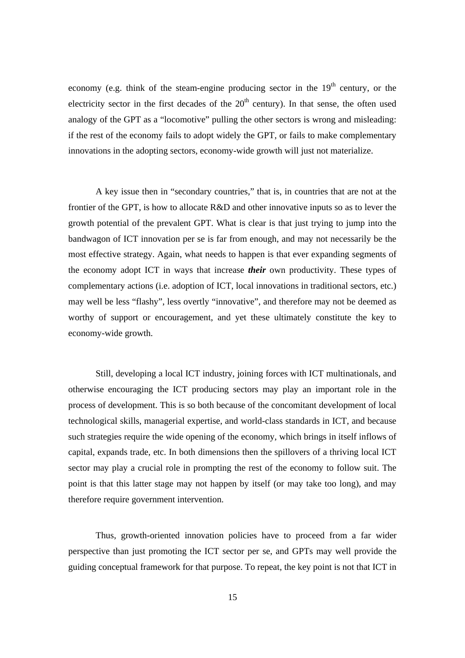economy (e.g. think of the steam-engine producing sector in the  $19<sup>th</sup>$  century, or the electricity sector in the first decades of the  $20<sup>th</sup>$  century). In that sense, the often used analogy of the GPT as a "locomotive" pulling the other sectors is wrong and misleading: if the rest of the economy fails to adopt widely the GPT, or fails to make complementary innovations in the adopting sectors, economy-wide growth will just not materialize.

A key issue then in "secondary countries," that is, in countries that are not at the frontier of the GPT, is how to allocate R&D and other innovative inputs so as to lever the growth potential of the prevalent GPT. What is clear is that just trying to jump into the bandwagon of ICT innovation per se is far from enough, and may not necessarily be the most effective strategy. Again, what needs to happen is that ever expanding segments of the economy adopt ICT in ways that increase *their* own productivity. These types of complementary actions (i.e. adoption of ICT, local innovations in traditional sectors, etc.) may well be less "flashy", less overtly "innovative", and therefore may not be deemed as worthy of support or encouragement, and yet these ultimately constitute the key to economy-wide growth.

Still, developing a local ICT industry, joining forces with ICT multinationals, and otherwise encouraging the ICT producing sectors may play an important role in the process of development. This is so both because of the concomitant development of local technological skills, managerial expertise, and world-class standards in ICT, and because such strategies require the wide opening of the economy, which brings in itself inflows of capital, expands trade, etc. In both dimensions then the spillovers of a thriving local ICT sector may play a crucial role in prompting the rest of the economy to follow suit. The point is that this latter stage may not happen by itself (or may take too long), and may therefore require government intervention.

Thus, growth-oriented innovation policies have to proceed from a far wider perspective than just promoting the ICT sector per se, and GPTs may well provide the guiding conceptual framework for that purpose. To repeat, the key point is not that ICT in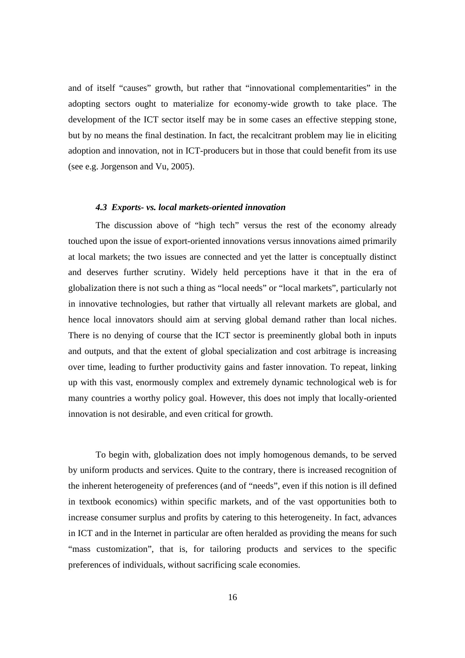and of itself "causes" growth, but rather that "innovational complementarities" in the adopting sectors ought to materialize for economy-wide growth to take place. The development of the ICT sector itself may be in some cases an effective stepping stone, but by no means the final destination. In fact, the recalcitrant problem may lie in eliciting adoption and innovation, not in ICT-producers but in those that could benefit from its use (see e.g. Jorgenson and Vu, 2005).

#### *4.3 Exports- vs. local markets-oriented innovation*

 The discussion above of "high tech" versus the rest of the economy already touched upon the issue of export-oriented innovations versus innovations aimed primarily at local markets; the two issues are connected and yet the latter is conceptually distinct and deserves further scrutiny. Widely held perceptions have it that in the era of globalization there is not such a thing as "local needs" or "local markets", particularly not in innovative technologies, but rather that virtually all relevant markets are global, and hence local innovators should aim at serving global demand rather than local niches. There is no denying of course that the ICT sector is preeminently global both in inputs and outputs, and that the extent of global specialization and cost arbitrage is increasing over time, leading to further productivity gains and faster innovation. To repeat, linking up with this vast, enormously complex and extremely dynamic technological web is for many countries a worthy policy goal. However, this does not imply that locally-oriented innovation is not desirable, and even critical for growth.

 To begin with, globalization does not imply homogenous demands, to be served by uniform products and services. Quite to the contrary, there is increased recognition of the inherent heterogeneity of preferences (and of "needs", even if this notion is ill defined in textbook economics) within specific markets, and of the vast opportunities both to increase consumer surplus and profits by catering to this heterogeneity. In fact, advances in ICT and in the Internet in particular are often heralded as providing the means for such "mass customization", that is, for tailoring products and services to the specific preferences of individuals, without sacrificing scale economies.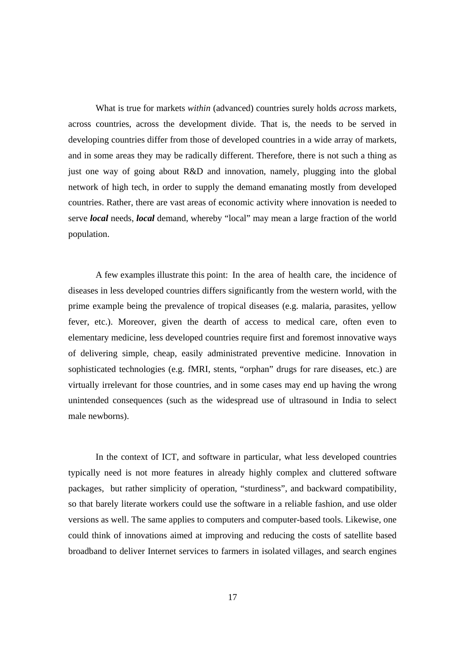What is true for markets *within* (advanced) countries surely holds *across* markets, across countries, across the development divide. That is, the needs to be served in developing countries differ from those of developed countries in a wide array of markets, and in some areas they may be radically different. Therefore, there is not such a thing as just one way of going about R&D and innovation, namely, plugging into the global network of high tech, in order to supply the demand emanating mostly from developed countries. Rather, there are vast areas of economic activity where innovation is needed to serve *local* needs, *local* demand, whereby "local" may mean a large fraction of the world population.

A few examples illustrate this point: In the area of health care, the incidence of diseases in less developed countries differs significantly from the western world, with the prime example being the prevalence of tropical diseases (e.g. malaria, parasites, yellow fever, etc.). Moreover, given the dearth of access to medical care, often even to elementary medicine, less developed countries require first and foremost innovative ways of delivering simple, cheap, easily administrated preventive medicine. Innovation in sophisticated technologies (e.g. fMRI, stents, "orphan" drugs for rare diseases, etc.) are virtually irrelevant for those countries, and in some cases may end up having the wrong unintended consequences (such as the widespread use of ultrasound in India to select male newborns).

 In the context of ICT, and software in particular, what less developed countries typically need is not more features in already highly complex and cluttered software packages, but rather simplicity of operation, "sturdiness", and backward compatibility, so that barely literate workers could use the software in a reliable fashion, and use older versions as well. The same applies to computers and computer-based tools. Likewise, one could think of innovations aimed at improving and reducing the costs of satellite based broadband to deliver Internet services to farmers in isolated villages, and search engines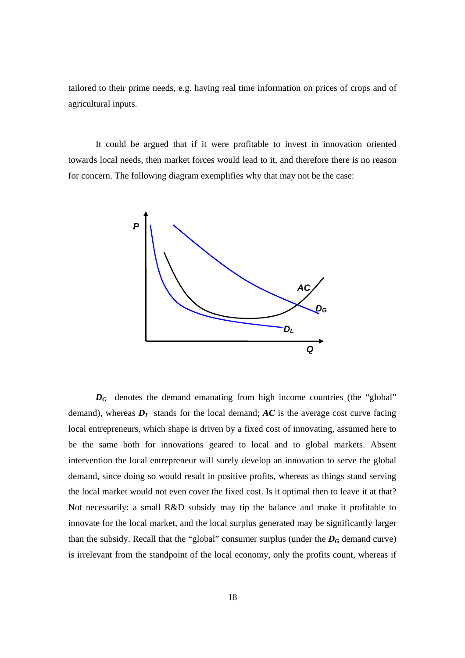tailored to their prime needs, e.g. having real time information on prices of crops and of agricultural inputs.

 It could be argued that if it were profitable to invest in innovation oriented towards local needs, then market forces would lead to it, and therefore there is no reason for concern. The following diagram exemplifies why that may not be the case:



*DG* denotes the demand emanating from high income countries (the "global" demand), whereas  $D_L$  stands for the local demand;  $AC$  is the average cost curve facing local entrepreneurs, which shape is driven by a fixed cost of innovating, assumed here to be the same both for innovations geared to local and to global markets. Absent intervention the local entrepreneur will surely develop an innovation to serve the global demand, since doing so would result in positive profits, whereas as things stand serving the local market would not even cover the fixed cost. Is it optimal then to leave it at that? Not necessarily: a small R&D subsidy may tip the balance and make it profitable to innovate for the local market, and the local surplus generated may be significantly larger than the subsidy. Recall that the "global" consumer surplus (under the  $D_G$  demand curve) is irrelevant from the standpoint of the local economy, only the profits count, whereas if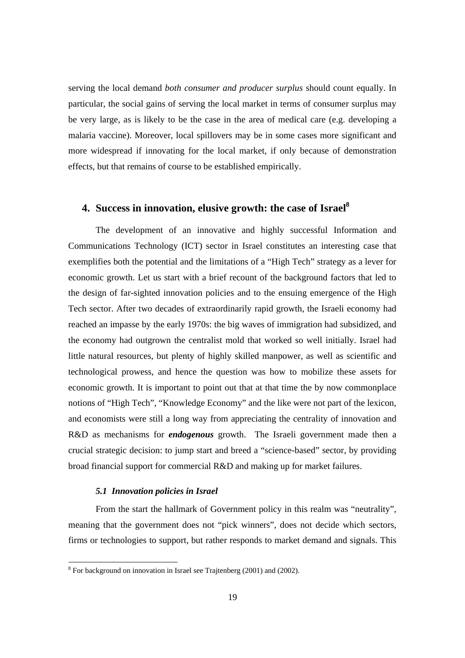serving the local demand *both consumer and producer surplus* should count equally. In particular, the social gains of serving the local market in terms of consumer surplus may be very large, as is likely to be the case in the area of medical care (e.g. developing a malaria vaccine). Moreover, local spillovers may be in some cases more significant and more widespread if innovating for the local market, if only because of demonstration effects, but that remains of course to be established empirically.

# **4.** Success in innovation, elusive growth: the case of Israel<sup>8</sup>

The development of an innovative and highly successful Information and Communications Technology (ICT) sector in Israel constitutes an interesting case that exemplifies both the potential and the limitations of a "High Tech" strategy as a lever for economic growth. Let us start with a brief recount of the background factors that led to the design of far-sighted innovation policies and to the ensuing emergence of the High Tech sector. After two decades of extraordinarily rapid growth, the Israeli economy had reached an impasse by the early 1970s: the big waves of immigration had subsidized, and the economy had outgrown the centralist mold that worked so well initially. Israel had little natural resources, but plenty of highly skilled manpower, as well as scientific and technological prowess, and hence the question was how to mobilize these assets for economic growth. It is important to point out that at that time the by now commonplace notions of "High Tech", "Knowledge Economy" and the like were not part of the lexicon, and economists were still a long way from appreciating the centrality of innovation and R&D as mechanisms for *endogenous* growth. The Israeli government made then a crucial strategic decision: to jump start and breed a "science-based" sector, by providing broad financial support for commercial R&D and making up for market failures.

#### *5.1 Innovation policies in Israel*

 From the start the hallmark of Government policy in this realm was "neutrality", meaning that the government does not "pick winners", does not decide which sectors, firms or technologies to support, but rather responds to market demand and signals. This

 $8$  For background on innovation in Israel see Trajtenberg (2001) and (2002).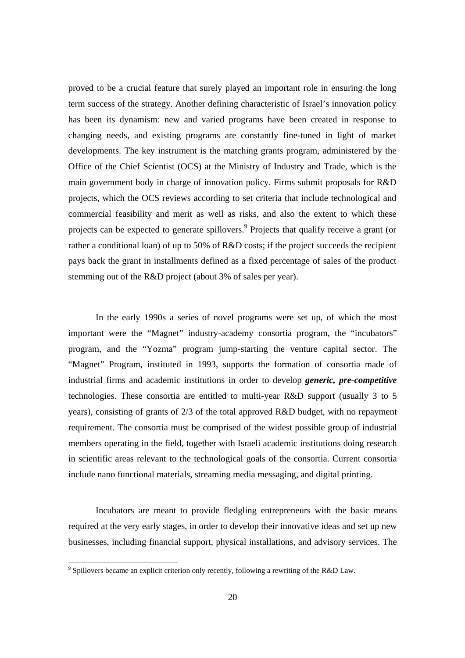proved to be a crucial feature that surely played an important role in ensuring the long term success of the strategy. Another defining characteristic of Israel's innovation policy has been its dynamism: new and varied programs have been created in response to changing needs, and existing programs are constantly fine-tuned in light of market developments. The key instrument is the matching grants program, administered by the Office of the Chief Scientist (OCS) at the Ministry of Industry and Trade, which is the main government body in charge of innovation policy. Firms submit proposals for R&D projects, which the OCS reviews according to set criteria that include technological and commercial feasibility and merit as well as risks, and also the extent to which these projects can be expected to generate spillovers.<sup>9</sup> Projects that qualify receive a grant (or rather a conditional loan) of up to 50% of R&D costs; if the project succeeds the recipient pays back the grant in installments defined as a fixed percentage of sales of the product stemming out of the R&D project (about 3% of sales per year).

In the early 1990s a series of novel programs were set up, of which the most important were the "Magnet" industry-academy consortia program, the "incubators" program, and the "Yozma" program jump-starting the venture capital sector. The "Magnet" Program, instituted in 1993, supports the formation of consortia made of industrial firms and academic institutions in order to develop *generic, pre-competitive* technologies. These consortia are entitled to multi-year R&D support (usually 3 to 5 years), consisting of grants of 2/3 of the total approved R&D budget, with no repayment requirement. The consortia must be comprised of the widest possible group of industrial members operating in the field, together with Israeli academic institutions doing research in scientific areas relevant to the technological goals of the consortia. Current consortia include nano functional materials, streaming media messaging, and digital printing.

Incubators are meant to provide fledgling entrepreneurs with the basic means required at the very early stages, in order to develop their innovative ideas and set up new businesses, including financial support, physical installations, and advisory services. The

<sup>&</sup>lt;sup>9</sup> Spillovers became an explicit criterion only recently, following a rewriting of the R&D Law.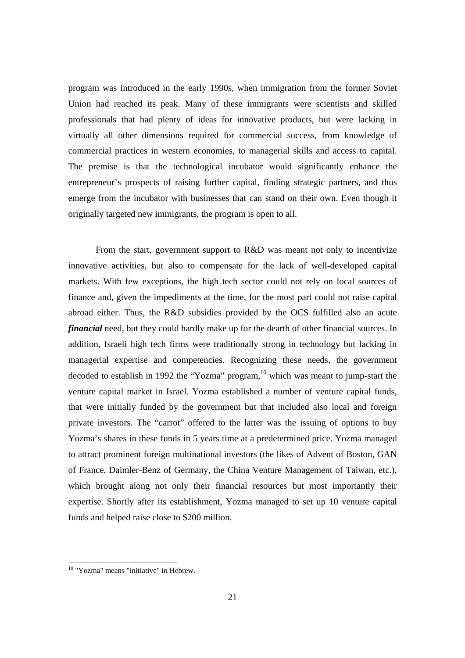program was introduced in the early 1990s, when immigration from the former Soviet Union had reached its peak. Many of these immigrants were scientists and skilled professionals that had plenty of ideas for innovative products, but were lacking in virtually all other dimensions required for commercial success, from knowledge of commercial practices in western economies, to managerial skills and access to capital. The premise is that the technological incubator would significantly enhance the entrepreneur's prospects of raising further capital, finding strategic partners, and thus emerge from the incubator with businesses that can stand on their own. Even though it originally targeted new immigrants, the program is open to all.

From the start, government support to R&D was meant not only to incentivize innovative activities, but also to compensate for the lack of well-developed capital markets. With few exceptions, the high tech sector could not rely on local sources of finance and, given the impediments at the time, for the most part could not raise capital abroad either. Thus, the R&D subsidies provided by the OCS fulfilled also an acute *financial* need, but they could hardly make up for the dearth of other financial sources. In addition, Israeli high tech firms were traditionally strong in technology but lacking in managerial expertise and competencies. Recognizing these needs, the government decoded to establish in 1992 the "Yozma" program,<sup>10</sup> which was meant to jump-start the venture capital market in Israel. Yozma established a number of venture capital funds, that were initially funded by the government but that included also local and foreign private investors. The "carrot" offered to the latter was the issuing of options to buy Yozma's shares in these funds in 5 years time at a predetermined price. Yozma managed to attract prominent foreign multinational investors (the likes of Advent of Boston, GAN of France, Daimler-Benz of Germany, the China Venture Management of Taiwan, etc.), which brought along not only their financial resources but most importantly their expertise. Shortly after its establishment, Yozma managed to set up 10 venture capital funds and helped raise close to \$200 million.

<sup>&</sup>lt;sup>10</sup> "Yozma" means "initiative" in Hebrew.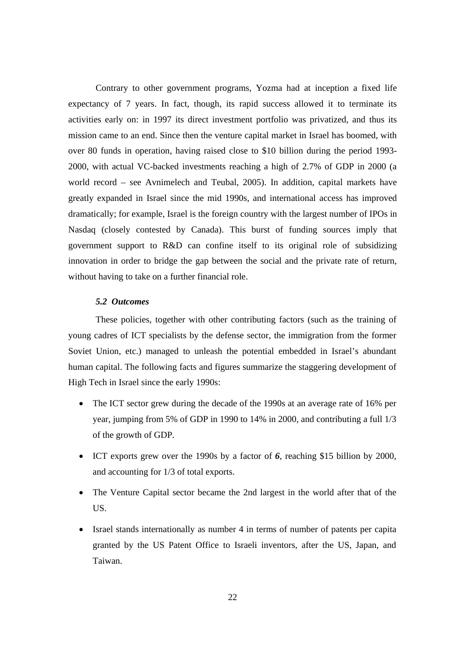Contrary to other government programs, Yozma had at inception a fixed life expectancy of 7 years. In fact, though, its rapid success allowed it to terminate its activities early on: in 1997 its direct investment portfolio was privatized, and thus its mission came to an end. Since then the venture capital market in Israel has boomed, with over 80 funds in operation, having raised close to \$10 billion during the period 1993- 2000, with actual VC-backed investments reaching a high of 2.7% of GDP in 2000 (a world record – see Avnimelech and Teubal, 2005). In addition, capital markets have greatly expanded in Israel since the mid 1990s, and international access has improved dramatically; for example, Israel is the foreign country with the largest number of IPOs in Nasdaq (closely contested by Canada). This burst of funding sources imply that government support to R&D can confine itself to its original role of subsidizing innovation in order to bridge the gap between the social and the private rate of return, without having to take on a further financial role.

## *5.2 Outcomes*

These policies, together with other contributing factors (such as the training of young cadres of ICT specialists by the defense sector, the immigration from the former Soviet Union, etc.) managed to unleash the potential embedded in Israel's abundant human capital. The following facts and figures summarize the staggering development of High Tech in Israel since the early 1990s:

- The ICT sector grew during the decade of the 1990s at an average rate of 16% per year, jumping from 5% of GDP in 1990 to 14% in 2000, and contributing a full 1/3 of the growth of GDP.
- ICT exports grew over the 1990s by a factor of *6*, reaching \$15 billion by 2000, and accounting for 1/3 of total exports.
- The Venture Capital sector became the 2nd largest in the world after that of the US.
- Israel stands internationally as number 4 in terms of number of patents per capita granted by the US Patent Office to Israeli inventors, after the US, Japan, and Taiwan.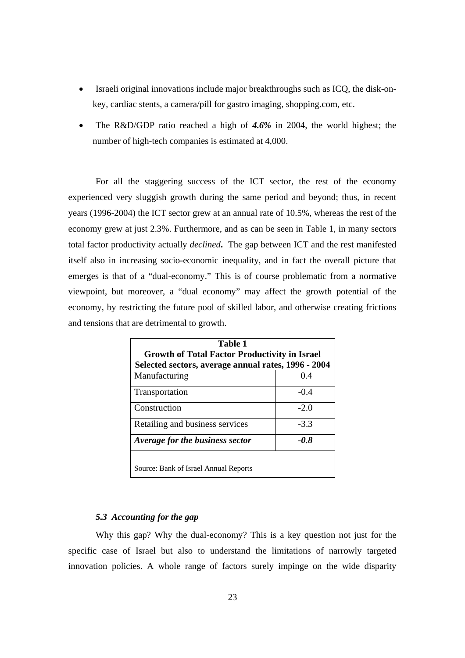- Israeli original innovations include major breakthroughs such as ICQ, the disk-onkey, cardiac stents, a camera/pill for gastro imaging, shopping.com, etc.
- The R&D/GDP ratio reached a high of *4.6%* in 2004, the world highest; the number of high-tech companies is estimated at 4,000.

For all the staggering success of the ICT sector, the rest of the economy experienced very sluggish growth during the same period and beyond; thus, in recent years (1996-2004) the ICT sector grew at an annual rate of 10.5%, whereas the rest of the economy grew at just 2.3%. Furthermore, and as can be seen in Table 1, in many sectors total factor productivity actually *declined***.** The gap between ICT and the rest manifested itself also in increasing socio-economic inequality, and in fact the overall picture that emerges is that of a "dual-economy." This is of course problematic from a normative viewpoint, but moreover, a "dual economy" may affect the growth potential of the economy, by restricting the future pool of skilled labor, and otherwise creating frictions and tensions that are detrimental to growth.

| Table 1<br><b>Growth of Total Factor Productivity in Israel</b><br>Selected sectors, average annual rates, 1996 - 2004 |        |  |
|------------------------------------------------------------------------------------------------------------------------|--------|--|
| Manufacturing                                                                                                          | 0.4    |  |
| Transportation                                                                                                         | $-0.4$ |  |
| Construction                                                                                                           | $-2.0$ |  |
| Retailing and business services                                                                                        | $-3.3$ |  |
| $-0.8$<br>Average for the business sector                                                                              |        |  |
| Source: Bank of Israel Annual Reports                                                                                  |        |  |

# *5.3 Accounting for the gap*

Why this gap? Why the dual-economy? This is a key question not just for the specific case of Israel but also to understand the limitations of narrowly targeted innovation policies. A whole range of factors surely impinge on the wide disparity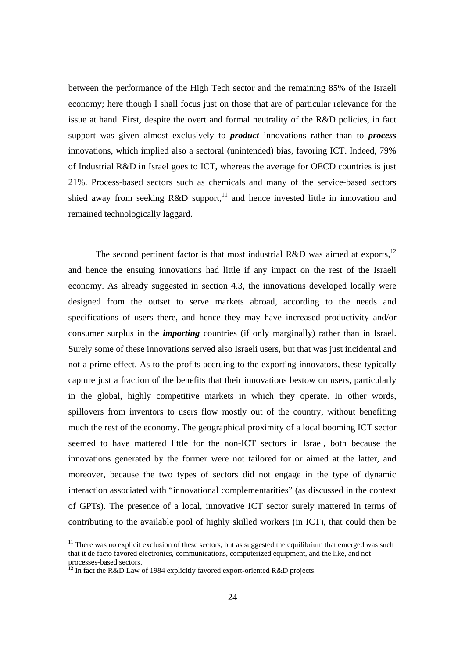between the performance of the High Tech sector and the remaining 85% of the Israeli economy; here though I shall focus just on those that are of particular relevance for the issue at hand. First, despite the overt and formal neutrality of the R&D policies, in fact support was given almost exclusively to *product* innovations rather than to *process* innovations, which implied also a sectoral (unintended) bias, favoring ICT. Indeed, 79% of Industrial R&D in Israel goes to ICT, whereas the average for OECD countries is just 21%. Process-based sectors such as chemicals and many of the service-based sectors shied away from seeking  $R&D$  support,<sup>11</sup> and hence invested little in innovation and remained technologically laggard.

The second pertinent factor is that most industrial R&D was aimed at exports,  $12$ and hence the ensuing innovations had little if any impact on the rest of the Israeli economy. As already suggested in section 4.3, the innovations developed locally were designed from the outset to serve markets abroad, according to the needs and specifications of users there, and hence they may have increased productivity and/or consumer surplus in the *importing* countries (if only marginally) rather than in Israel. Surely some of these innovations served also Israeli users, but that was just incidental and not a prime effect. As to the profits accruing to the exporting innovators, these typically capture just a fraction of the benefits that their innovations bestow on users, particularly in the global, highly competitive markets in which they operate. In other words, spillovers from inventors to users flow mostly out of the country, without benefiting much the rest of the economy. The geographical proximity of a local booming ICT sector seemed to have mattered little for the non-ICT sectors in Israel, both because the innovations generated by the former were not tailored for or aimed at the latter, and moreover, because the two types of sectors did not engage in the type of dynamic interaction associated with "innovational complementarities" (as discussed in the context of GPTs). The presence of a local, innovative ICT sector surely mattered in terms of contributing to the available pool of highly skilled workers (in ICT), that could then be

 $11$  There was no explicit exclusion of these sectors, but as suggested the equilibrium that emerged was such that it de facto favored electronics, communications, computerized equipment, and the like, and not processes-based sectors.

 $^{12}$  In fact the R&D Law of 1984 explicitly favored export-oriented R&D projects.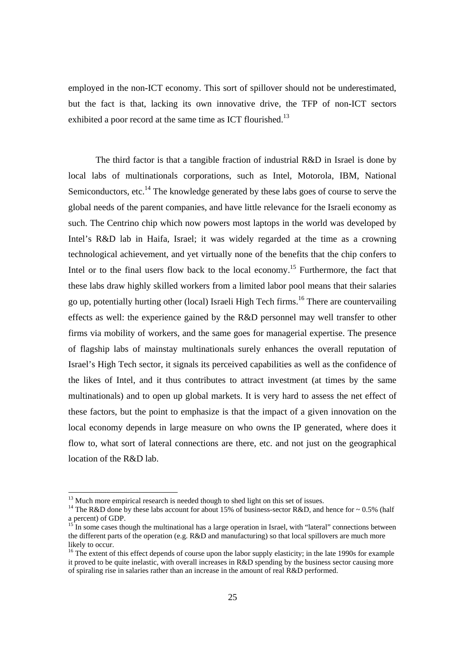employed in the non-ICT economy. This sort of spillover should not be underestimated, but the fact is that, lacking its own innovative drive, the TFP of non-ICT sectors exhibited a poor record at the same time as ICT flourished.<sup>13</sup>

The third factor is that a tangible fraction of industrial R&D in Israel is done by local labs of multinationals corporations, such as Intel, Motorola, IBM, National Semiconductors, etc.<sup>14</sup> The knowledge generated by these labs goes of course to serve the global needs of the parent companies, and have little relevance for the Israeli economy as such. The Centrino chip which now powers most laptops in the world was developed by Intel's R&D lab in Haifa, Israel; it was widely regarded at the time as a crowning technological achievement, and yet virtually none of the benefits that the chip confers to Intel or to the final users flow back to the local economy.<sup>15</sup> Furthermore, the fact that these labs draw highly skilled workers from a limited labor pool means that their salaries go up, potentially hurting other (local) Israeli High Tech firms.16 There are countervailing effects as well: the experience gained by the R&D personnel may well transfer to other firms via mobility of workers, and the same goes for managerial expertise. The presence of flagship labs of mainstay multinationals surely enhances the overall reputation of Israel's High Tech sector, it signals its perceived capabilities as well as the confidence of the likes of Intel, and it thus contributes to attract investment (at times by the same multinationals) and to open up global markets. It is very hard to assess the net effect of these factors, but the point to emphasize is that the impact of a given innovation on the local economy depends in large measure on who owns the IP generated, where does it flow to, what sort of lateral connections are there, etc. and not just on the geographical location of the R&D lab.

 $13$  Much more empirical research is needed though to shed light on this set of issues.

<sup>&</sup>lt;sup>14</sup> The R&D done by these labs account for about 15% of business-sector R&D, and hence for ~ 0.5% (half a percent) of GDP.

 $15$  In some cases though the multinational has a large operation in Israel, with "lateral" connections between the different parts of the operation (e.g. R&D and manufacturing) so that local spillovers are much more likely to occur.

<sup>&</sup>lt;sup>16</sup> The extent of this effect depends of course upon the labor supply elasticity; in the late 1990s for example it proved to be quite inelastic, with overall increases in R&D spending by the business sector causing more of spiraling rise in salaries rather than an increase in the amount of real R&D performed.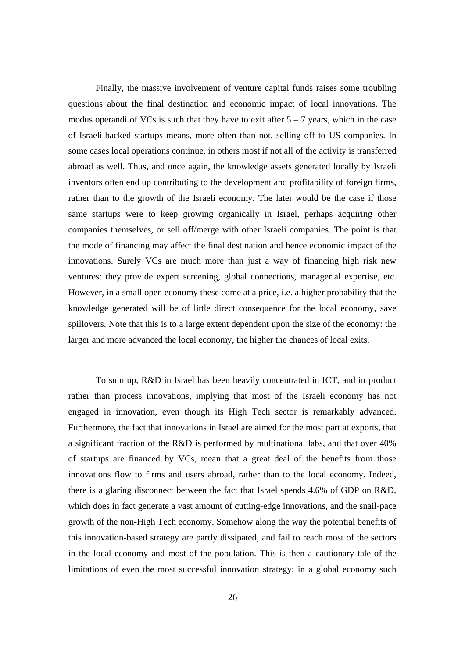Finally, the massive involvement of venture capital funds raises some troubling questions about the final destination and economic impact of local innovations. The modus operandi of VCs is such that they have to exit after  $5 - 7$  years, which in the case of Israeli-backed startups means, more often than not, selling off to US companies. In some cases local operations continue, in others most if not all of the activity is transferred abroad as well. Thus, and once again, the knowledge assets generated locally by Israeli inventors often end up contributing to the development and profitability of foreign firms, rather than to the growth of the Israeli economy. The later would be the case if those same startups were to keep growing organically in Israel, perhaps acquiring other companies themselves, or sell off/merge with other Israeli companies. The point is that the mode of financing may affect the final destination and hence economic impact of the innovations. Surely VCs are much more than just a way of financing high risk new ventures: they provide expert screening, global connections, managerial expertise, etc. However, in a small open economy these come at a price, i.e. a higher probability that the knowledge generated will be of little direct consequence for the local economy, save spillovers. Note that this is to a large extent dependent upon the size of the economy: the larger and more advanced the local economy, the higher the chances of local exits.

To sum up, R&D in Israel has been heavily concentrated in ICT, and in product rather than process innovations, implying that most of the Israeli economy has not engaged in innovation, even though its High Tech sector is remarkably advanced. Furthermore, the fact that innovations in Israel are aimed for the most part at exports, that a significant fraction of the R&D is performed by multinational labs, and that over 40% of startups are financed by VCs, mean that a great deal of the benefits from those innovations flow to firms and users abroad, rather than to the local economy. Indeed, there is a glaring disconnect between the fact that Israel spends 4.6% of GDP on R&D, which does in fact generate a vast amount of cutting-edge innovations, and the snail-pace growth of the non-High Tech economy. Somehow along the way the potential benefits of this innovation-based strategy are partly dissipated, and fail to reach most of the sectors in the local economy and most of the population. This is then a cautionary tale of the limitations of even the most successful innovation strategy: in a global economy such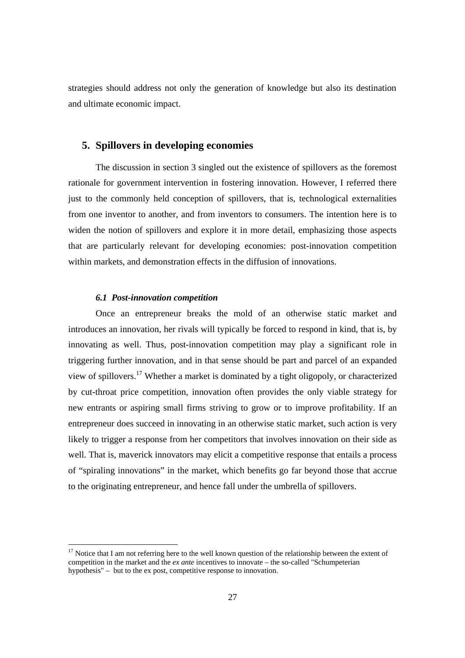strategies should address not only the generation of knowledge but also its destination and ultimate economic impact.

# **5. Spillovers in developing economies**

The discussion in section 3 singled out the existence of spillovers as the foremost rationale for government intervention in fostering innovation. However, I referred there just to the commonly held conception of spillovers, that is, technological externalities from one inventor to another, and from inventors to consumers. The intention here is to widen the notion of spillovers and explore it in more detail, emphasizing those aspects that are particularly relevant for developing economies: post-innovation competition within markets, and demonstration effects in the diffusion of innovations.

#### *6.1 Post-innovation competition*

Once an entrepreneur breaks the mold of an otherwise static market and introduces an innovation, her rivals will typically be forced to respond in kind, that is, by innovating as well. Thus, post-innovation competition may play a significant role in triggering further innovation, and in that sense should be part and parcel of an expanded view of spillovers.17 Whether a market is dominated by a tight oligopoly, or characterized by cut-throat price competition, innovation often provides the only viable strategy for new entrants or aspiring small firms striving to grow or to improve profitability. If an entrepreneur does succeed in innovating in an otherwise static market, such action is very likely to trigger a response from her competitors that involves innovation on their side as well. That is, maverick innovators may elicit a competitive response that entails a process of "spiraling innovations" in the market, which benefits go far beyond those that accrue to the originating entrepreneur, and hence fall under the umbrella of spillovers.

<sup>&</sup>lt;sup>17</sup> Notice that I am not referring here to the well known question of the relationship between the extent of competition in the market and the *ex ante* incentives to innovate – the so-called "Schumpeterian hypothesis" – but to the ex post, competitive response to innovation.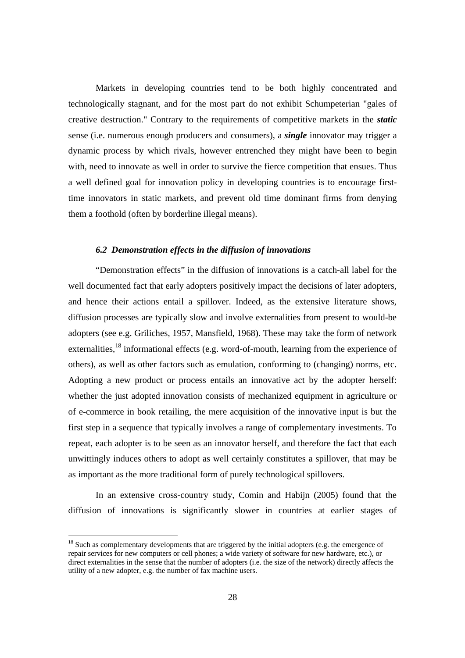Markets in developing countries tend to be both highly concentrated and technologically stagnant, and for the most part do not exhibit Schumpeterian "gales of creative destruction." Contrary to the requirements of competitive markets in the *static* sense (i.e. numerous enough producers and consumers), a *single* innovator may trigger a dynamic process by which rivals, however entrenched they might have been to begin with, need to innovate as well in order to survive the fierce competition that ensues. Thus a well defined goal for innovation policy in developing countries is to encourage firsttime innovators in static markets, and prevent old time dominant firms from denying them a foothold (often by borderline illegal means).

#### *6.2 Demonstration effects in the diffusion of innovations*

"Demonstration effects" in the diffusion of innovations is a catch-all label for the well documented fact that early adopters positively impact the decisions of later adopters, and hence their actions entail a spillover. Indeed, as the extensive literature shows, diffusion processes are typically slow and involve externalities from present to would-be adopters (see e.g. Griliches, 1957, Mansfield, 1968). These may take the form of network externalities,  $^{18}$  informational effects (e.g. word-of-mouth, learning from the experience of others), as well as other factors such as emulation, conforming to (changing) norms, etc. Adopting a new product or process entails an innovative act by the adopter herself: whether the just adopted innovation consists of mechanized equipment in agriculture or of e-commerce in book retailing, the mere acquisition of the innovative input is but the first step in a sequence that typically involves a range of complementary investments. To repeat, each adopter is to be seen as an innovator herself, and therefore the fact that each unwittingly induces others to adopt as well certainly constitutes a spillover, that may be as important as the more traditional form of purely technological spillovers.

In an extensive cross-country study, Comin and Habijn (2005) found that the diffusion of innovations is significantly slower in countries at earlier stages of

 $18$  Such as complementary developments that are triggered by the initial adopters (e.g. the emergence of repair services for new computers or cell phones; a wide variety of software for new hardware, etc.), or direct externalities in the sense that the number of adopters (i.e. the size of the network) directly affects the utility of a new adopter, e.g. the number of fax machine users.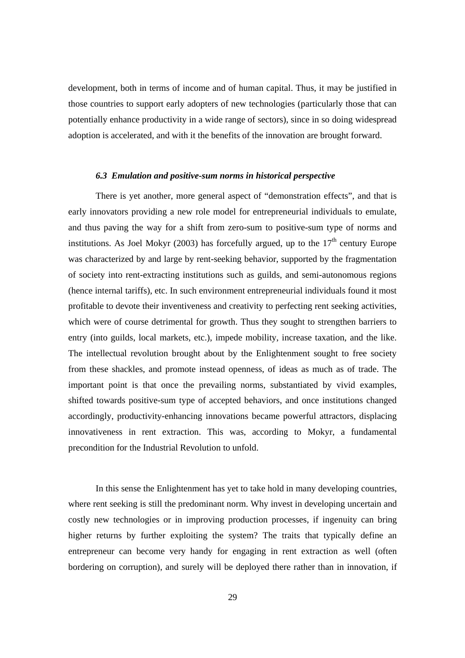development, both in terms of income and of human capital. Thus, it may be justified in those countries to support early adopters of new technologies (particularly those that can potentially enhance productivity in a wide range of sectors), since in so doing widespread adoption is accelerated, and with it the benefits of the innovation are brought forward.

#### *6.3 Emulation and positive-sum norms in historical perspective*

There is yet another, more general aspect of "demonstration effects", and that is early innovators providing a new role model for entrepreneurial individuals to emulate, and thus paving the way for a shift from zero-sum to positive-sum type of norms and institutions. As Joel Mokyr (2003) has forcefully argued, up to the  $17<sup>th</sup>$  century Europe was characterized by and large by rent-seeking behavior, supported by the fragmentation of society into rent-extracting institutions such as guilds, and semi-autonomous regions (hence internal tariffs), etc. In such environment entrepreneurial individuals found it most profitable to devote their inventiveness and creativity to perfecting rent seeking activities, which were of course detrimental for growth. Thus they sought to strengthen barriers to entry (into guilds, local markets, etc.), impede mobility, increase taxation, and the like. The intellectual revolution brought about by the Enlightenment sought to free society from these shackles, and promote instead openness, of ideas as much as of trade. The important point is that once the prevailing norms, substantiated by vivid examples, shifted towards positive-sum type of accepted behaviors, and once institutions changed accordingly, productivity-enhancing innovations became powerful attractors, displacing innovativeness in rent extraction. This was, according to Mokyr, a fundamental precondition for the Industrial Revolution to unfold.

 In this sense the Enlightenment has yet to take hold in many developing countries, where rent seeking is still the predominant norm. Why invest in developing uncertain and costly new technologies or in improving production processes, if ingenuity can bring higher returns by further exploiting the system? The traits that typically define an entrepreneur can become very handy for engaging in rent extraction as well (often bordering on corruption), and surely will be deployed there rather than in innovation, if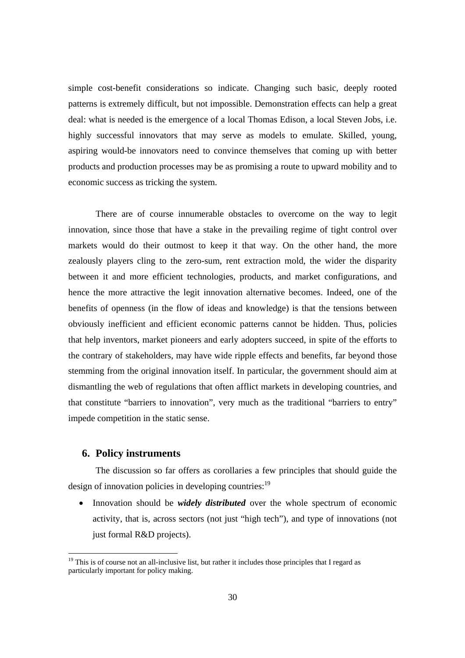simple cost-benefit considerations so indicate. Changing such basic, deeply rooted patterns is extremely difficult, but not impossible. Demonstration effects can help a great deal: what is needed is the emergence of a local Thomas Edison, a local Steven Jobs, i.e. highly successful innovators that may serve as models to emulate. Skilled, young, aspiring would-be innovators need to convince themselves that coming up with better products and production processes may be as promising a route to upward mobility and to economic success as tricking the system.

There are of course innumerable obstacles to overcome on the way to legit innovation, since those that have a stake in the prevailing regime of tight control over markets would do their outmost to keep it that way. On the other hand, the more zealously players cling to the zero-sum, rent extraction mold, the wider the disparity between it and more efficient technologies, products, and market configurations, and hence the more attractive the legit innovation alternative becomes. Indeed, one of the benefits of openness (in the flow of ideas and knowledge) is that the tensions between obviously inefficient and efficient economic patterns cannot be hidden. Thus, policies that help inventors, market pioneers and early adopters succeed, in spite of the efforts to the contrary of stakeholders, may have wide ripple effects and benefits, far beyond those stemming from the original innovation itself. In particular, the government should aim at dismantling the web of regulations that often afflict markets in developing countries, and that constitute "barriers to innovation", very much as the traditional "barriers to entry" impede competition in the static sense.

#### **6. Policy instruments**

The discussion so far offers as corollaries a few principles that should guide the design of innovation policies in developing countries: $^{19}$ 

• Innovation should be *widely distributed* over the whole spectrum of economic activity, that is, across sectors (not just "high tech"), and type of innovations (not just formal R&D projects).

 $19$  This is of course not an all-inclusive list, but rather it includes those principles that I regard as particularly important for policy making.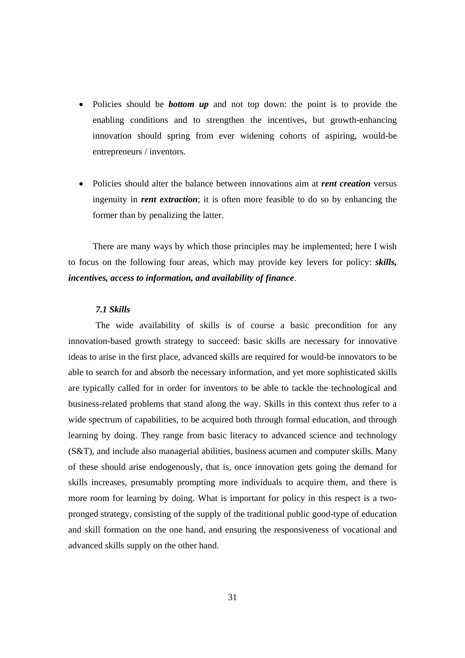- Policies should be *bottom up* and not top down: the point is to provide the enabling conditions and to strengthen the incentives, but growth-enhancing innovation should spring from ever widening cohorts of aspiring, would-be entrepreneurs / inventors.
- Policies should alter the balance between innovations aim at *rent creation* versus ingenuity in *rent extraction*; it is often more feasible to do so by enhancing the former than by penalizing the latter.

There are many ways by which those principles may be implemented; here I wish to focus on the following four areas, which may provide key levers for policy: *skills, incentives, access to information, and availability of finance*.

#### *7.1 Skills*

The wide availability of skills is of course a basic precondition for any innovation-based growth strategy to succeed: basic skills are necessary for innovative ideas to arise in the first place, advanced skills are required for would-be innovators to be able to search for and absorb the necessary information, and yet more sophisticated skills are typically called for in order for inventors to be able to tackle the technological and business-related problems that stand along the way. Skills in this context thus refer to a wide spectrum of capabilities, to be acquired both through formal education, and through learning by doing. They range from basic literacy to advanced science and technology (S&T), and include also managerial abilities, business acumen and computer skills. Many of these should arise endogenously, that is, once innovation gets going the demand for skills increases, presumably prompting more individuals to acquire them, and there is more room for learning by doing. What is important for policy in this respect is a twopronged strategy, consisting of the supply of the traditional public good-type of education and skill formation on the one hand, and ensuring the responsiveness of vocational and advanced skills supply on the other hand.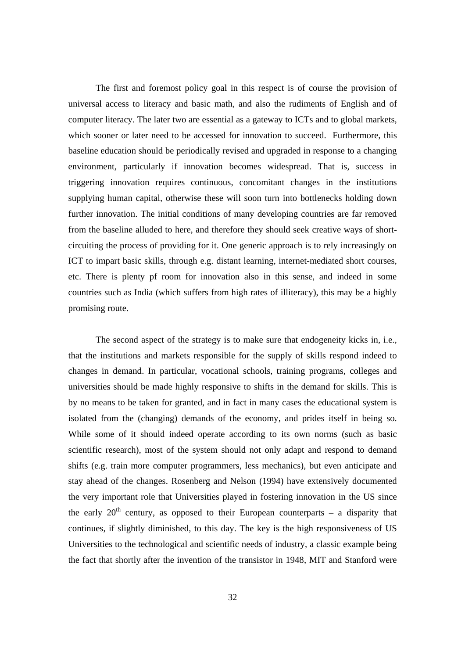The first and foremost policy goal in this respect is of course the provision of universal access to literacy and basic math, and also the rudiments of English and of computer literacy. The later two are essential as a gateway to ICTs and to global markets, which sooner or later need to be accessed for innovation to succeed. Furthermore, this baseline education should be periodically revised and upgraded in response to a changing environment, particularly if innovation becomes widespread. That is, success in triggering innovation requires continuous, concomitant changes in the institutions supplying human capital, otherwise these will soon turn into bottlenecks holding down further innovation. The initial conditions of many developing countries are far removed from the baseline alluded to here, and therefore they should seek creative ways of shortcircuiting the process of providing for it. One generic approach is to rely increasingly on ICT to impart basic skills, through e.g. distant learning, internet-mediated short courses, etc. There is plenty pf room for innovation also in this sense, and indeed in some countries such as India (which suffers from high rates of illiteracy), this may be a highly promising route.

 The second aspect of the strategy is to make sure that endogeneity kicks in, i.e., that the institutions and markets responsible for the supply of skills respond indeed to changes in demand. In particular, vocational schools, training programs, colleges and universities should be made highly responsive to shifts in the demand for skills. This is by no means to be taken for granted, and in fact in many cases the educational system is isolated from the (changing) demands of the economy, and prides itself in being so. While some of it should indeed operate according to its own norms (such as basic scientific research), most of the system should not only adapt and respond to demand shifts (e.g. train more computer programmers, less mechanics), but even anticipate and stay ahead of the changes. Rosenberg and Nelson (1994) have extensively documented the very important role that Universities played in fostering innovation in the US since the early  $20<sup>th</sup>$  century, as opposed to their European counterparts – a disparity that continues, if slightly diminished, to this day. The key is the high responsiveness of US Universities to the technological and scientific needs of industry, a classic example being the fact that shortly after the invention of the transistor in 1948, MIT and Stanford were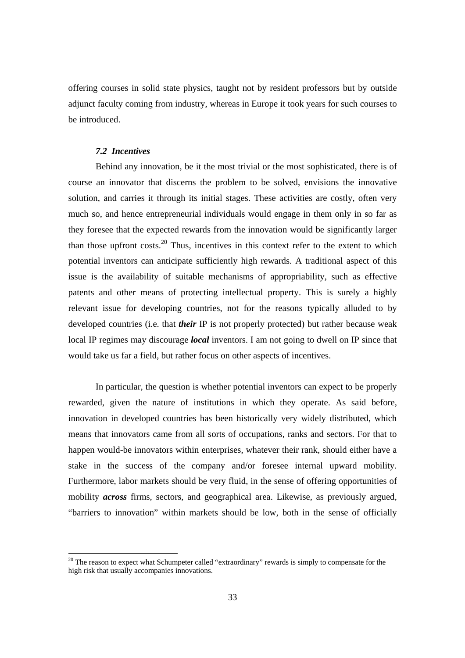offering courses in solid state physics, taught not by resident professors but by outside adjunct faculty coming from industry, whereas in Europe it took years for such courses to be introduced.

#### *7.2 Incentives*

 Behind any innovation, be it the most trivial or the most sophisticated, there is of course an innovator that discerns the problem to be solved, envisions the innovative solution, and carries it through its initial stages. These activities are costly, often very much so, and hence entrepreneurial individuals would engage in them only in so far as they foresee that the expected rewards from the innovation would be significantly larger than those upfront costs.<sup>20</sup> Thus, incentives in this context refer to the extent to which potential inventors can anticipate sufficiently high rewards. A traditional aspect of this issue is the availability of suitable mechanisms of appropriability, such as effective patents and other means of protecting intellectual property. This is surely a highly relevant issue for developing countries, not for the reasons typically alluded to by developed countries (i.e. that *their* IP is not properly protected) but rather because weak local IP regimes may discourage *local* inventors. I am not going to dwell on IP since that would take us far a field, but rather focus on other aspects of incentives.

 In particular, the question is whether potential inventors can expect to be properly rewarded, given the nature of institutions in which they operate. As said before, innovation in developed countries has been historically very widely distributed, which means that innovators came from all sorts of occupations, ranks and sectors. For that to happen would-be innovators within enterprises, whatever their rank, should either have a stake in the success of the company and/or foresee internal upward mobility. Furthermore, labor markets should be very fluid, in the sense of offering opportunities of mobility *across* firms, sectors, and geographical area. Likewise, as previously argued, "barriers to innovation" within markets should be low, both in the sense of officially

 $20$  The reason to expect what Schumpeter called "extraordinary" rewards is simply to compensate for the high risk that usually accompanies innovations.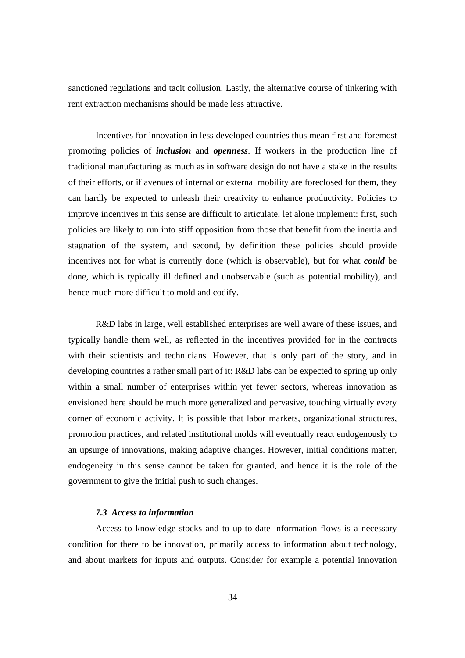sanctioned regulations and tacit collusion. Lastly, the alternative course of tinkering with rent extraction mechanisms should be made less attractive.

 Incentives for innovation in less developed countries thus mean first and foremost promoting policies of *inclusion* and *openness*. If workers in the production line of traditional manufacturing as much as in software design do not have a stake in the results of their efforts, or if avenues of internal or external mobility are foreclosed for them, they can hardly be expected to unleash their creativity to enhance productivity. Policies to improve incentives in this sense are difficult to articulate, let alone implement: first, such policies are likely to run into stiff opposition from those that benefit from the inertia and stagnation of the system, and second, by definition these policies should provide incentives not for what is currently done (which is observable), but for what *could* be done, which is typically ill defined and unobservable (such as potential mobility), and hence much more difficult to mold and codify.

 R&D labs in large, well established enterprises are well aware of these issues, and typically handle them well, as reflected in the incentives provided for in the contracts with their scientists and technicians. However, that is only part of the story, and in developing countries a rather small part of it: R&D labs can be expected to spring up only within a small number of enterprises within yet fewer sectors, whereas innovation as envisioned here should be much more generalized and pervasive, touching virtually every corner of economic activity. It is possible that labor markets, organizational structures, promotion practices, and related institutional molds will eventually react endogenously to an upsurge of innovations, making adaptive changes. However, initial conditions matter, endogeneity in this sense cannot be taken for granted, and hence it is the role of the government to give the initial push to such changes.

#### *7.3 Access to information*

 Access to knowledge stocks and to up-to-date information flows is a necessary condition for there to be innovation, primarily access to information about technology, and about markets for inputs and outputs. Consider for example a potential innovation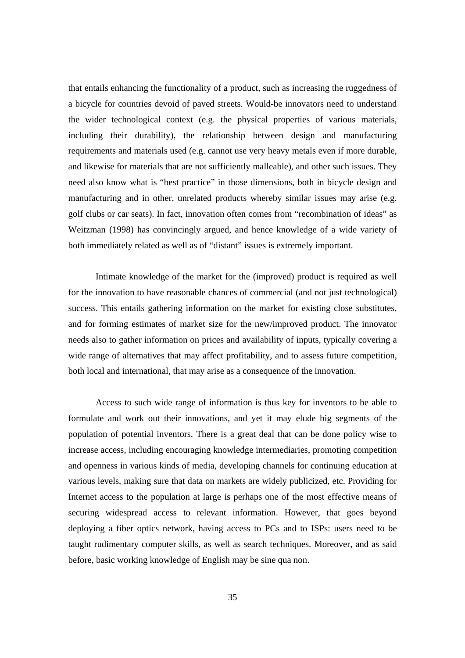that entails enhancing the functionality of a product, such as increasing the ruggedness of a bicycle for countries devoid of paved streets. Would-be innovators need to understand the wider technological context (e.g. the physical properties of various materials, including their durability), the relationship between design and manufacturing requirements and materials used (e.g. cannot use very heavy metals even if more durable, and likewise for materials that are not sufficiently malleable), and other such issues. They need also know what is "best practice" in those dimensions, both in bicycle design and manufacturing and in other, unrelated products whereby similar issues may arise (e.g. golf clubs or car seats). In fact, innovation often comes from "recombination of ideas" as Weitzman (1998) has convincingly argued, and hence knowledge of a wide variety of both immediately related as well as of "distant" issues is extremely important.

 Intimate knowledge of the market for the (improved) product is required as well for the innovation to have reasonable chances of commercial (and not just technological) success. This entails gathering information on the market for existing close substitutes, and for forming estimates of market size for the new/improved product. The innovator needs also to gather information on prices and availability of inputs, typically covering a wide range of alternatives that may affect profitability, and to assess future competition, both local and international, that may arise as a consequence of the innovation.

 Access to such wide range of information is thus key for inventors to be able to formulate and work out their innovations, and yet it may elude big segments of the population of potential inventors. There is a great deal that can be done policy wise to increase access, including encouraging knowledge intermediaries, promoting competition and openness in various kinds of media, developing channels for continuing education at various levels, making sure that data on markets are widely publicized, etc. Providing for Internet access to the population at large is perhaps one of the most effective means of securing widespread access to relevant information. However, that goes beyond deploying a fiber optics network, having access to PCs and to ISPs: users need to be taught rudimentary computer skills, as well as search techniques. Moreover, and as said before, basic working knowledge of English may be sine qua non.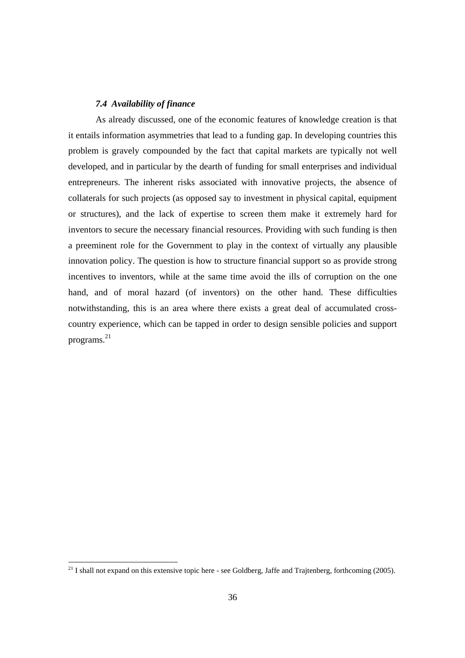## *7.4 Availability of finance*

 As already discussed, one of the economic features of knowledge creation is that it entails information asymmetries that lead to a funding gap. In developing countries this problem is gravely compounded by the fact that capital markets are typically not well developed, and in particular by the dearth of funding for small enterprises and individual entrepreneurs. The inherent risks associated with innovative projects, the absence of collaterals for such projects (as opposed say to investment in physical capital, equipment or structures), and the lack of expertise to screen them make it extremely hard for inventors to secure the necessary financial resources. Providing with such funding is then a preeminent role for the Government to play in the context of virtually any plausible innovation policy. The question is how to structure financial support so as provide strong incentives to inventors, while at the same time avoid the ills of corruption on the one hand, and of moral hazard (of inventors) on the other hand. These difficulties notwithstanding, this is an area where there exists a great deal of accumulated crosscountry experience, which can be tapped in order to design sensible policies and support programs.21

<sup>&</sup>lt;sup>21</sup> I shall not expand on this extensive topic here - see Goldberg, Jaffe and Trajtenberg, forthcoming (2005).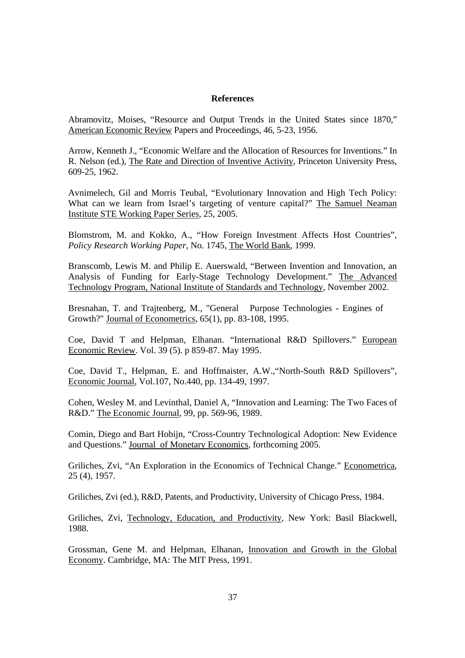#### **References**

Abramovitz, Moises, "Resource and Output Trends in the United States since 1870," American Economic Review Papers and Proceedings, 46, 5-23, 1956.

Arrow, Kenneth J., "Economic Welfare and the Allocation of Resources for Inventions." In R. Nelson (ed.), The Rate and Direction of Inventive Activity, Princeton University Press, 609-25, 1962.

Avnimelech, Gil and Morris Teubal, "Evolutionary Innovation and High Tech Policy: What can we learn from Israel's targeting of venture capital?" The Samuel Neaman Institute STE Working Paper Series, 25, 2005.

Blomstrom, M. and Kokko, A., "How Foreign Investment Affects Host Countries", *Policy Research Working Paper*, No. 1745, The World Bank, 1999.

Branscomb, Lewis M. and Philip E. Auerswald, "Between Invention and Innovation, an Analysis of Funding for Early-Stage Technology Development." The Advanced Technology Program, National Institute of Standards and Technology, November 2002.

Bresnahan, T. and Trajtenberg, M., "General Purpose Technologies - Engines of Growth?" Journal of Econometrics, 65(1), pp. 83-108, 1995.

Coe, David T and Helpman, Elhanan. "International R&D Spillovers." European Economic Review. Vol. 39 (5). p 859-87. May 1995.

Coe, David T., Helpman, E. and Hoffmaister, A.W.,"North-South R&D Spillovers", Economic Journal, Vol.107, No.440, pp. 134-49, 1997.

Cohen, Wesley M. and Levinthal, Daniel A, "Innovation and Learning: The Two Faces of R&D." The Economic Journal, 99, pp. 569-96, 1989.

Comin, Diego and Bart Hobijn, "Cross-Country Technological Adoption: New Evidence and Questions." Journal of Monetary Economics*,* forthcoming 2005*.*

Griliches, Zvi, "An Exploration in the Economics of Technical Change." Econometrica, 25 (4), 1957.

Griliches, Zvi (ed.), R&D, Patents, and Productivity, University of Chicago Press, 1984.

Griliches, Zvi, Technology, Education, and Productivity, New York: Basil Blackwell, 1988.

Grossman, Gene M. and Helpman, Elhanan, Innovation and Growth in the Global Economy. Cambridge, MA: The MIT Press, 1991.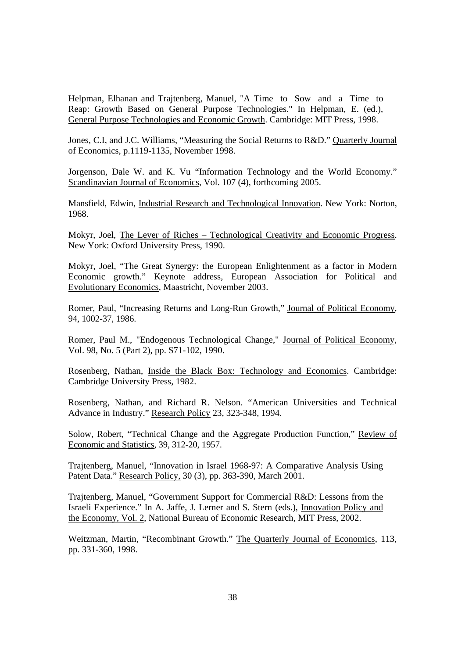Helpman, Elhanan and Trajtenberg, Manuel, "A Time to Sow and a Time to Reap: Growth Based on General Purpose Technologies." In Helpman, E. (ed.), General Purpose Technologies and Economic Growth. Cambridge: MIT Press, 1998.

Jones, C.I, and J.C. Williams, "Measuring the Social Returns to R&D." Quarterly Journal of Economics, p.1119-1135, November 1998.

Jorgenson, Dale W. and K. Vu "Information Technology and the World Economy." Scandinavian Journal of Economics, Vol. 107 (4), forthcoming 2005.

Mansfield, Edwin, Industrial Research and Technological Innovation. New York: Norton, 1968.

Mokyr, Joel, The Lever of Riches – Technological Creativity and Economic Progress. New York: Oxford University Press, 1990.

Mokyr, Joel, "The Great Synergy: the European Enlightenment as a factor in Modern Economic growth." Keynote address, European Association for Political and Evolutionary Economics, Maastricht, November 2003.

Romer, Paul, "Increasing Returns and Long-Run Growth," Journal of Political Economy, 94, 1002-37, 1986.

Romer, Paul M., "Endogenous Technological Change," Journal of Political Economy, Vol. 98, No. 5 (Part 2), pp. S71-102, 1990.

Rosenberg, Nathan, Inside the Black Box: Technology and Economics. Cambridge: Cambridge University Press, 1982.

Rosenberg, Nathan, and Richard R. Nelson. "American Universities and Technical Advance in Industry." Research Policy 23, 323-348, 1994.

Solow, Robert, "Technical Change and the Aggregate Production Function," Review of Economic and Statistics, 39, 312-20, 1957.

Trajtenberg, Manuel, "Innovation in Israel 1968-97: A Comparative Analysis Using Patent Data." Research Policy, 30 (3), pp. 363-390, March 2001.

Trajtenberg, Manuel, "Government Support for Commercial R&D: Lessons from the Israeli Experience." In A. Jaffe, J. Lerner and S. Stern (eds.), Innovation Policy and the Economy, Vol. 2, National Bureau of Economic Research, MIT Press, 2002.

Weitzman, Martin, "Recombinant Growth." The Quarterly Journal of Economics, 113, pp. 331-360, 1998.